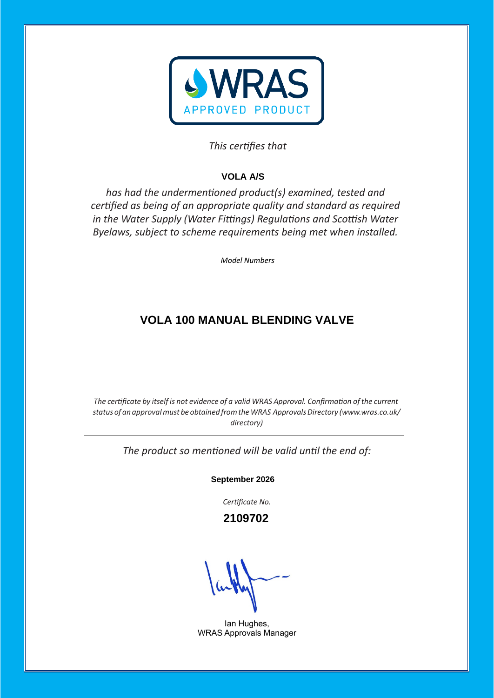

## This certifies that

# **VOLA A/S**

has had the undermentioned product(s) examined, tested and certified as being of an appropriate quality and standard as required *in the Water Supply (Water Fittings) Regulations and Scottish Water Byelaws, subject to scheme requirements being met when installed.* 

*Model Numbers* 

## **VOLA 100 MANUAL BLENDING VALVE**

*The certificate by itself is* not *evidence* of *a* valid WRAS Approval. Confirmation of the current *status of an approvalmust be obtained fromtheWRAS ApprovalsDirectory [\(www.wras.co.uk/](http://www.wras.co.uk/directory)) [directory\)](http://www.wras.co.uk/directory))*

The product so mentioned will be valid until the end of:

**September 2026**

Certificate No.

 **2109702**

Ian Hughes, WRAS Approvals Manager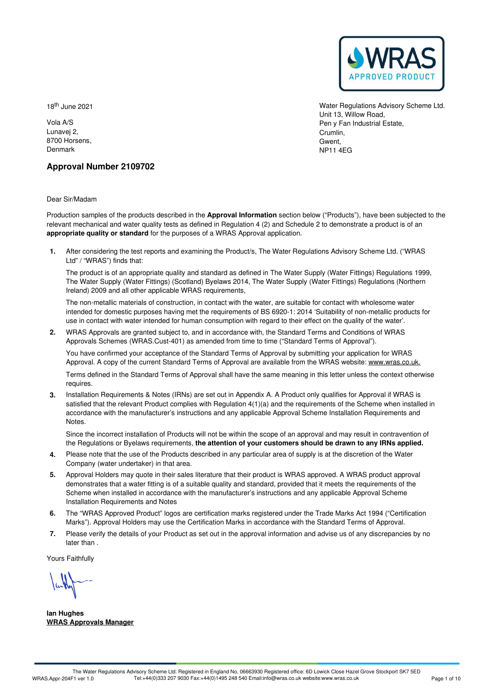

18 th June 2021

Vola A/S Lunavej 2, 8700 Horsens, Denmark

Water Regulations Advisory Scheme Ltd. Unit 13, Willow Road, Pen y Fan Industrial Estate, Crumlin, Gwent, NP11 4EG

## **Approval Number 2109702**

Dear Sir/Madam

Production samples of the products described in the **Approval Information** section below ("Products"), have been subjected to the relevant mechanical and water quality tests as defined in Regulation 4 (2) and Schedule 2 to demonstrate a product is of an **appropriate quality or standard** for the purposes of a WRAS Approval application.

After considering the test reports and examining the Product/s, The Water Regulations Advisory Scheme Ltd. ("WRAS **1.** Ltd" / "WRAS") finds that:

The product is of an appropriate quality and standard as defined in The Water Supply (Water Fittings) Regulations 1999, The Water Supply (Water Fittings) (Scotland) Byelaws 2014, The Water Supply (Water Fittings) Regulations (Northern Ireland) 2009 and all other applicable WRAS requirements,

The non-metallic materials of construction, in contact with the water, are suitable for contact with wholesome water intended for domestic purposes having met the requirements of BS 6920-1:2014 'Suitability of non-metallic products for use in contact with water intended for human consumption with regard to their effect on the quality of the water'.

WRAS Approvals are granted subject to, and in accordance with, the Standard Terms and Conditions of WRAS **2.** Approvals Schemes (WRAS.Cust-401) as amended from time to time ("Standard Terms of Approval").

You have confirmed your acceptance of the Standard Terms of Approval by submitting your application for WRAS Approval. A copy of the current Standard Terms of Approval are available from the WRAS website: [www.wras.co.uk.](https://www.wras.co.uk)

Terms defined in the Standard Terms of Approval shall have the same meaning in this letter unless the context otherwise requires.

**3.** Installation Requirements & Notes (IRNs) are set out in Appendix A. A Product only qualifies for Approval if WRAS is satisfied that the relevant Product complies with Regulation 4(1)(a) and the requirements of the Scheme when installed in accordance with the manufacturer's instructions and any applicable Approval Scheme Installation Requirements and Notes.

Since the incorrect installation of Products will not be within the scope of an approval and may result in contravention of the Regulations or Byelaws requirements, **the attention of your customers should be drawn to any IRNs applied.**

- Please note that the use of the Products described in any particular area of supply is at the discretion of the Water **4.** Please note that the use of the Products of Company (water undertaker) in that area.
- 5. Approval Holders may quote in their sales literature that their product is WRAS approved. A WRAS product approval demonstrates that a water fitting is of a suitable quality and standard, provided that it meets the requirements of the Scheme when installed in accordance with the manufacturer's instructions and any applicable Approval Scheme Installation Requirements and Notes
- The "WRAS Approved Product" logos are certification marks registered under the Trade Marks Act 1994 ("Certification 6. The "WRAS Approved Product" logos are certification marks registered under the Trade Marks Act 1994 ("Certif<br>Marks"). Approval Holders may use the Certification Marks in accordance with the Standard Terms of Approval.
- Please verify the details of your Product as set out in the approval information and advise us of any discrepancies by no later than . **7.**

Yours Faithfully

**Ian Hughes WRAS Approvals Manager**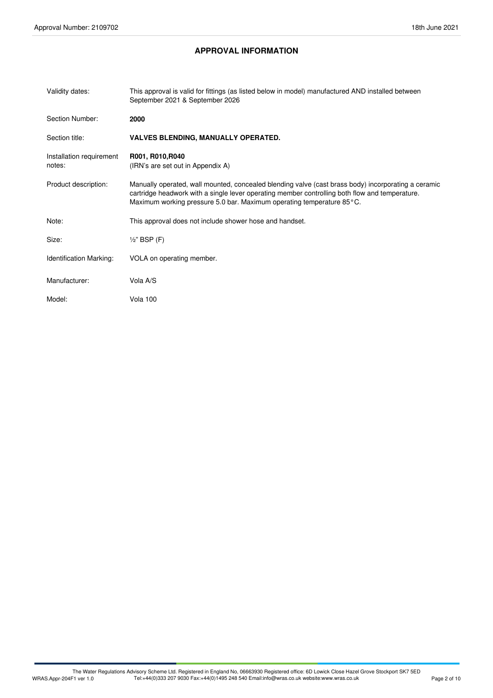## **APPROVAL INFORMATION**

| Validity dates:                    | This approval is valid for fittings (as listed below in model) manufactured AND installed between<br>September 2021 & September 2026                                                                                                                                           |
|------------------------------------|--------------------------------------------------------------------------------------------------------------------------------------------------------------------------------------------------------------------------------------------------------------------------------|
| Section Number:                    | 2000                                                                                                                                                                                                                                                                           |
| Section title:                     | <b>VALVES BLENDING, MANUALLY OPERATED.</b>                                                                                                                                                                                                                                     |
| Installation requirement<br>notes: | R001, R010, R040<br>(IRN's are set out in Appendix A)                                                                                                                                                                                                                          |
| Product description:               | Manually operated, wall mounted, concealed blending valve (cast brass body) incorporating a ceramic<br>cartridge headwork with a single lever operating member controlling both flow and temperature.<br>Maximum working pressure 5.0 bar. Maximum operating temperature 85°C. |
| Note:                              | This approval does not include shower hose and handset.                                                                                                                                                                                                                        |
| Size:                              | $\frac{1}{2}$ " BSP (F)                                                                                                                                                                                                                                                        |
| <b>Identification Marking:</b>     | VOLA on operating member.                                                                                                                                                                                                                                                      |
| Manufacturer:                      | Vola A/S                                                                                                                                                                                                                                                                       |
| Model:                             | Vola 100                                                                                                                                                                                                                                                                       |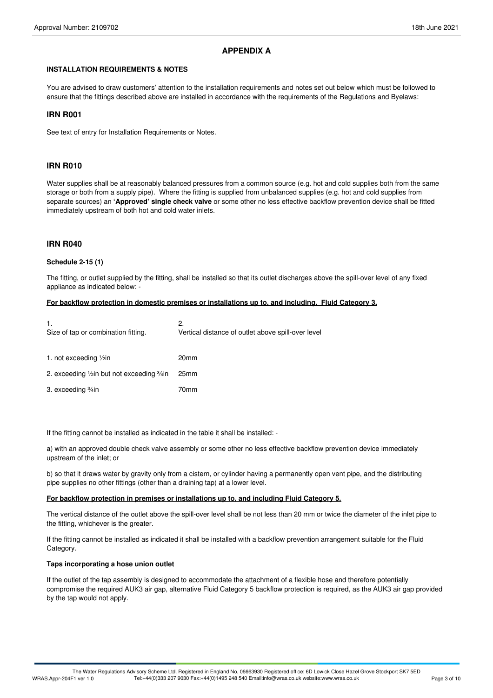## **APPENDIX A**

#### **INSTALLATION REQUIREMENTS & NOTES**

You are advised to draw customers' attention to the installation requirements and notes set out below which must be followed to ensure that the fittings described above are installed in accordance with the requirements of the Regulations and Byelaws:

#### **IRN R001**

See text of entry for Installation Requirements or Notes.

#### **IRN R010**

Water supplies shall be at reasonably balanced pressures from a common source (e.g. hot and cold supplies both from the same storage or both from a supply pipe). Where the fitting is supplied from unbalanced supplies (e.g. hot and cold supplies from separate sources) an **'Approved' single check valve** or some other no less effective backflow prevention device shall be fitted immediately upstream of both hot and cold water inlets.

#### **IRN R040**

#### **Schedule 2-15 (1)**

The fitting, or outlet supplied by the fitting, shall be installed so that its outlet discharges above the spill-over level of any fixed appliance as indicated below: -

#### **For backflow protection in domestic premises or installations up to, and including, Fluid Category 3.**

| 2.<br>Vertical distance of outlet above spill-over level |
|----------------------------------------------------------|
| 20 <sub>mm</sub>                                         |
| 25 <sub>mm</sub>                                         |
| 70mm                                                     |
|                                                          |

If the fitting cannot be installed as indicated in the table it shall be installed: -

a) with an approved double check valve assembly or some other no less effective backflow prevention device immediately upstream of the inlet; or

b) so that it draws water by gravity only from a cistern, or cylinder having a permanently open vent pipe, and the distributing pipe supplies no other fittings (other than a draining tap) at a lower level.

#### **For backflow protection in premises or installations up to, and including Fluid Category 5.**

The vertical distance of the outlet above the spill-over level shall be not less than 20 mm or twice the diameter of the inlet pipe to the fitting, whichever is the greater.

If the fitting cannot be installed as indicated it shall be installed with a backflow prevention arrangement suitable for the Fluid Category.

#### **Taps incorporating a hose union outlet**

If the outlet of the tap assembly is designed to accommodate the attachment of a flexible hose and therefore potentially compromise the required AUK3 air gap, alternative Fluid Category 5 backflow protection is required, as the AUK3 air gap provided by the tap would not apply.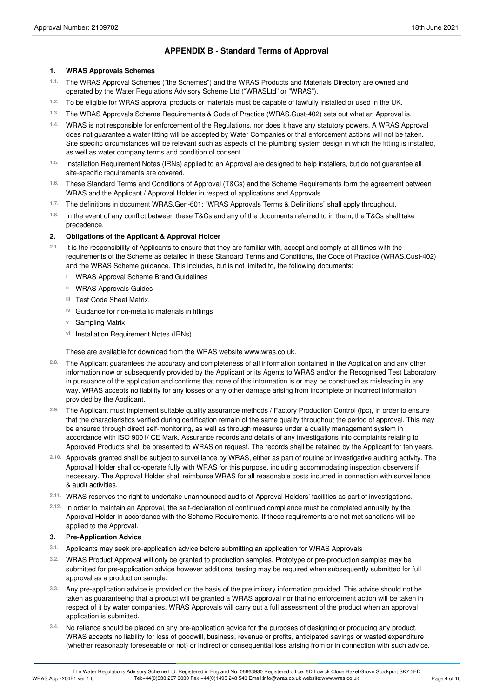## **APPENDIX B - Standard Terms of Approval**

#### **1. WRAS Approvals Schemes**

- The WRAS Approval Schemes ("the Schemes") and the WRAS Products and Materials Directory are owned and operated by the Water Regulations Advisory Scheme Ltd ("WRASLtd" or "WRAS"). **1.1.**
- 1.2. To be eligible for WRAS approval products or materials must be capable of lawfully installed or used in the UK.
- The WRAS Approvals Scheme Requirements & Code of Practice (WRAS.Cust-402) sets out what an Approval is. **1.3.**
- WRAS is not responsible for enforcement of the Regulations, nor does it have any statutory powers. A WRAS Approval **1.4.** does not guarantee a water fitting will be accepted by Water Companies or that enforcement actions will not be taken. Site specific circumstances will be relevant such as aspects of the plumbing system design in which the fitting is installed, as well as water company terms and condition of consent.
- Installation Requirement Notes (IRNs) applied to an Approval are designed to help installers, but do not guarantee all site-specific requirements are covered. **1.5.**
- These Standard Terms and Conditions of Approval (T&Cs) and the Scheme Requirements form the agreement between WRAS and the Applicant / Approval Holder in respect of applications and Approvals. **1.6.**
- The definitions in document WRAS.Gen-601: "WRAS Approvals Terms & Definitions" shall apply throughout. **1.7.**
- <sup>1.8.</sup> In the event of any conflict between these T&Cs and any of the documents referred to in them, the T&Cs shall take<br>precedence.

#### **2. Obligations of the Applicant & Approval Holder**

- 2.1. It is the responsibility of Applicants to ensure that they are familiar with, accept and comply at all times with the requirements of the Scheme as detailed in these Standard Terms and Conditions, the Code of Practice (WRAS.Cust-402) and the WRAS Scheme guidance. This includes, but is not limited to, the following documents:
	- **i** WRAS Approval Scheme Brand Guidelines
	- **ii** WRAS Approvals Guides
	- Test Code Sheet Matrix. **iii**
	- **iv** Guidance for non-metallic materials in fittings
	- **v** Sampling Matrix
	- vi Installation Requirement Notes (IRNs).

These are available for download from the WRAS website www.wras.co.uk.

- The Applicant guarantees the accuracy and completeness of all information contained in the Application and any other information now or subsequently provided by the Applicant or its Agents to WRAS and/or the Recognised Test Laboratory in pursuance of the application and confirms that none of this information is or may be construed as misleading in any way. WRAS accepts no liability for any losses or any other damage arising from incomplete or incorrect information provided by the Applicant. **2.8.**
- The Applicant must implement suitable quality assurance methods / Factory Production Control (fpc), in order to ensure **2.9.** that the characteristics verified during certification remain of the same quality throughout the period of approval. This may be ensured through direct self-monitoring, as well as through measures under a quality management system in accordance with ISO 9001/ CE Mark. Assurance records and details of any investigations into complaints relating to Approved Products shall be presented to WRAS on request. The records shall be retained by the Applicant for ten years.
- Approvals granted shall be subject to surveillance by WRAS, either as partof routine or investigative auditing activity. The **2.10.** Approval Holder shall co-operate fully with WRAS for this purpose, including accommodating inspection observers if necessary. The Approval Holder shall reimburse WRAS for all reasonable costs incurred in connection with surveillance & audit activities.
- WRAS reserves the right to undertake unannounced audits of Approval Holders' facilities as part of investigations. **2.11.**
- In order to maintain an Approval, the self-declaration of continued compliance must be completed annually by the **2.12.** Approval Holder in accordance with the Scheme Requirements. If these requirements are not met sanctions will be applied to the Approval.

#### **3. Pre-Application Advice**

- **3.1.** Applicants may seek pre-application advice before submitting an application for WRAS Approvals
- WRAS Product Approval will only be granted to production samples. Prototype or pre-production samples may be submitted for pre-application advice however additional testing may be required when subsequently submitted for full approval as a production sample. **3.2.**
- Any pre-application advice is provided on the basis of the preliminary information provided. This advice should not be taken as guaranteeing that a product will be granted a WRAS approval nor that no enforcement action will be taken in respect of it by water companies. WRAS Approvals will carry out a full assessment of the product when an approval application is submitted. **3.3.**
- No reliance should be placed on any pre-application advice for the purposes of designing or producing any product. WRAS accepts no liability for loss of goodwill, business, revenue or profits, anticipated savings or wasted expenditure (whether reasonably foreseeable or not) or indirect or consequential loss arising from or in connection with such advice. **3.4.**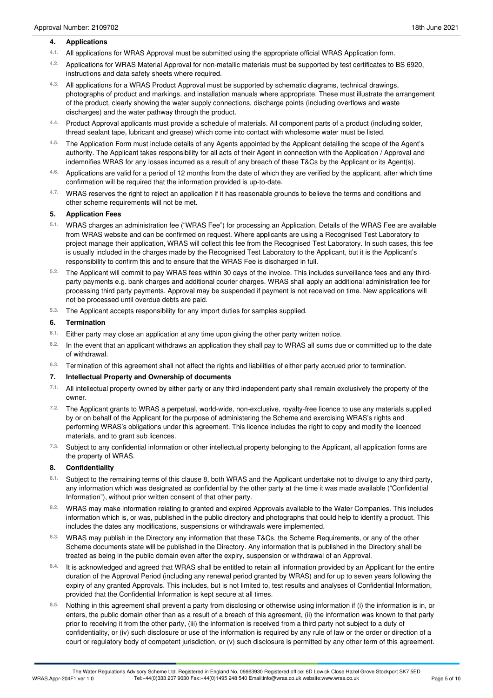#### **4. Applications**

- All applications for WRAS Approval must be submitted using the appropriate officialWRAS Application form. **4.1.**
- Applications for WRAS Material Approval for non-metallic materials must be supported by test certificates to BS 6920, instructions and data safety sheets where required. **4.2.**
- All applications for a WRAS Product Approval must be supported by schematic diagrams, technical drawings, photographs of product and markings, and installation manuals where appropriate. These must illustrate the arrangement of the product, clearly showing the water supply connections, discharge points (including overflows and waste discharges) and the water pathway through the product. **4.3.**
- Product Approval applicants must provide a schedule of materials. All component parts of a product (including solder, thread sealant tape, lubricant and grease) which come into contact with wholesome water must be listed. **4.4.**
- The Application Form must include details of any Agents appointed by the Applicant detailing the scope of the Agent's **4.5.** authority. The Applicant takes responsibility for all acts of their Agent in connection with the Application / Approval and indemnifies WRAS for any losses incurred as a result of any breach of these T&Cs by the Applicant or its Agent(s).
- Applications are valid for a period of 12 months from the date of which they are verified by the applicant, after which time 4.6. Applications are valid for a period of 12 months from the date of which t confirmation will be required that the information provided is up-to-date.
- WRAS reserves the right to reject an application if it has reasonable grounds to believe the terms and conditions and other scheme requirements will not be met. **4.7.**

#### **5. Application Fees**

- WRAS charges an administration fee ("WRAS Fee") for processing an Application. Details of the WRAS Fee are available **5.1.** from WRAS website and can be confirmed on request. Where applicants are using a Recognised Test Laboratory to project manage their application, WRAS will collect this fee from the Recognised Test Laboratory. In such cases, this fee is usually included in the charges made by the Recognised Test Laboratory to the Applicant, but it is the Applicant's responsibility to confirm this and to ensure that the WRAS Fee is discharged in full.
- The Applicant will commit to pay WRAS fees within 30 days of the invoice. This includes surveillance fees and any third- **5.2.** party payments e.g. bank charges and additional courier charges. WRAS shall apply an additional administration fee for processing third party payments. Approval may be suspended if payment is not received on time. New applications will not be processed until overdue debts are paid.
- The Applicant accepts responsibility for any import duties for samples supplied. **5.3.**

#### **6. Termination**

- Either party may close an application at any time upon giving the other party written notice. **6.1.**
- <sup>6.2.</sup> In the event that an applicant withdraws an application they shall pay to WRAS all sums due or committed up to the date<br>of withdrawal.
- Termination of this agreement shall not affect the rights and liabilities of either party accrued prior to termination. **6.3.**

#### **7. Intellectual Property and Ownership of documents**

- All intellectual property owned by either party or any third independent party shall remain exclusively the property of the owner. **7.1.**
- The Applicant grants to WRAS a perpetual, world-wide, non-exclusive, royalty-free licence to use any materials supplied **7.2.** by or on behalf of the Applicant for the purpose of administering the Scheme and exercising WRAS's rights and performing WRAS's obligations under this agreement. This licence includes the right to copy and modify the licenced materials, and to grant sub licences.
- <sup>7.3.</sup> Subject to any confidential information or other intellectual property belonging to the Applicant, all application forms are<br>the property of WRAS.

#### **8. Confidentiality**

- 8.1. Subject to the remaining terms of this clause 8, both WRAS and the Applicant undertake not to divulge to any third party, any information which was designated as confidential by the other party at the time it was made available ("Confidential Information"), without prior written consent of that other party.
- WRAS may make information relating to granted and expired Approvals available to the Water Companies. This includes information which is, or was, published in the public directory and photographs that could help to identify a product. This includes the dates any modifications, suspensions or withdrawals were implemented. **8.2.**
- WRAS may publish in the Directory any information that these T&Cs, the Scheme Requirements, or any of the other **8.3.** Scheme documents state will be published in the Directory. Any information that is published in the Directory shall be treated as being in the public domain even after the expiry, suspension or withdrawal of an Approval.
- It is acknowledged and agreed that WRAS shall be entitled to retain all information provided by an Applicant for the entire duration of the Approval Period (including any renewal period granted by WRAS) and for up to seven years following the expiry of any granted Approvals. This includes, but is not limited to, test results and analyses of Confidential Information, provided that the Confidential Information is kept secure at all times. **8.4.**
- Nothing in this agreement shall prevent a party from disclosing or otherwise using information if (i) the information is in, or enters, the public domain other than as a result of a breach of this agreement, (ii) the information was known to that party prior to receiving it from the other party, (iii) the information is received from a third party not subject to a duty of confidentiality, or (iv) such disclosure or use of the information is required by any rule of law or the order or direction of a court or regulatory body of competent jurisdiction, or (v) such disclosure is permitted by any other term of this agreement. **8.5.**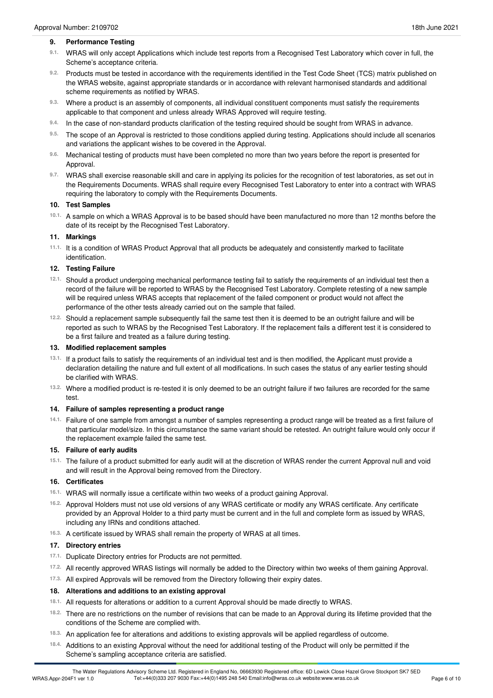#### **9. Performance Testing**

- <sup>9.1.</sup> WRAS will only accept Applications which include test reports from a Recognised Test Laboratory which cover in full, the<br>Scheme's acceptance criteria.
- 9.2. Products must be tested in accordance with the requirements identified in the Test Code Sheet (TCS) matrix published on the WRAS website, against appropriate standards or in accordance with relevant harmonised standards and additional scheme requirements as notified by WRAS.
- Where a product is an assembly of components, all individual constituent components must satisfy the requirements 9.3. Where a product is an assembly of components, all individual constituent components applicable to that component and unless already WRAS Approved will require testing.
- In the case of non-standard products clarification of the testing required should be sought from WRAS in advance. **9.4.**
- The scope of an Approval is restricted to those conditions applied during testing. Applications should include all scenarios 9.5. The scope of an Approval is restricted to those conditions applied and variations the applicant wishes to be covered in the Approval.
- Mechanical testing of products must have been completed no more than two years before the report is presented for Approval. **9.6.**
- WRAS shall exercise reasonable skill and care in applying its policies for the recognition of test laboratories, as set out in **9.7.** the Requirements Documents. WRAS shall require every Recognised Test Laboratory to enter into a contract with WRAS requiring the laboratory to comply with the Requirements Documents.

#### **10. Test Samples**

10.1. A sample on which a WRAS Approval is to be based should have been manufactured no more than 12 months before the date of its receipt by the Recognised Test Laboratory.

#### **11. Markings**

<sup>11.1.</sup> It is a condition of WRAS Product Approval that all products be adequately and consistently marked to facilitate<br>identification.

#### **12. Testing Failure**

- Should a product undergoing mechanical performance testing fail to satisfy the requirements of an individual test then a **12.1.** record of the failure will be reported to WRAS by the Recognised Test Laboratory. Complete retesting of a new sample will be required unless WRAS accepts that replacement of the failed component or product would not affect the performance of the other tests already carried out on the sample that failed.
- <sup>12.2.</sup> Should a replacement sample subsequently fail the same test then it is deemed to be an outright failure and will be reported as such to WRAS by the Recognised Test Laboratory. If the replacement fails a different test it is considered to be a first failure and treated as a failure during testing.

#### **13. Modified replacement samples**

- <sup>13.1.</sup> If a product fails to satisfy the requirements of an individual test and is then modified, the Applicant must provide a declaration detailing the nature and full extent of all modifications. In such cases the status of any earlier testing should be clarified with WRAS.
- Where a modified product is re-tested it is only deemed to be an outright failure if two failures are recorded for the same test. **13.2.**

#### **14. Failure of samples representing a product range**

Failure of one sample from amongst a number of samples representing a product range will be treated as a first failure of **14.1.** that particular model/size. In this circumstance the same variant should be retested. An outright failure would only occur if the replacement example failed the same test.

#### **15. Failure of early audits**

15.1. The failure of a product submitted for early audit will at the discretion of WRAS render the current Approval null and void and will result in the Approval being removed from the Directory.

#### **16. Certificates**

- WRAS will normally issue a certificate within two weeks of a product gaining Approval. **16.1.**
- <sup>16.2.</sup> Approval Holders must not use old versions of any WRAS certificate or modify any WRAS certificate. Any certificate provided by an Approval Holder to a third party must be current and in the full and complete form as issued by WRAS, including any IRNs and conditions attached.
- A certificate issued by WRAS shall remain the property of WRAS at all times. **16.3.**

#### **17. Directory entries**

- 17.1. Duplicate Directory entries for Products are not permitted.
- All recently approved WRAS listings will normally be added to the Directory within two weeks of them gaining Approval. **17.2.**
- <sup>17.3.</sup> All expired Approvals will be removed from the Directory following their expiry dates.

#### **18. Alterations and additions to an existing approval**

- 18.1. All requests for alterations or addition to a current Approval should be made directly to WRAS.
- There are no restrictions on the number of revisions that can be made to an Approval during its lifetime provided that the conditions of the Scheme are complied with. **18.2.**
- An application fee for alterations and additions to existing approvals will be applied regardless of outcome. **18.3.**
- Additions to an existing Approval without the need for additional testing of the Product will only be permitted if the Scheme's sampling acceptance criteria are satisfied. **18.4.**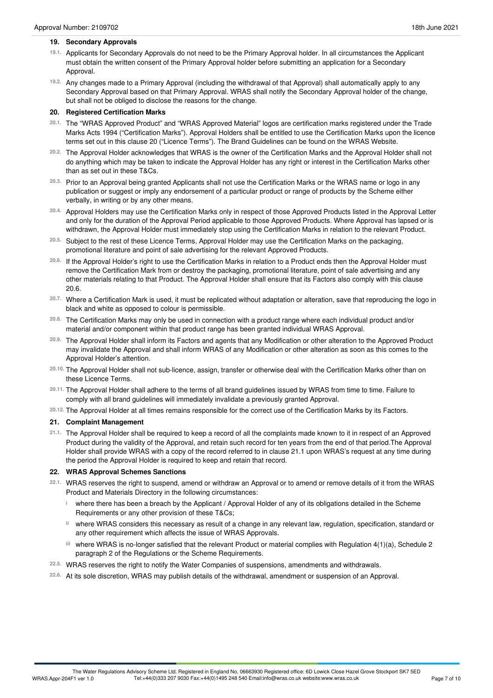- 19.1. Applicants for Secondary Approvals do not need to be the Primary Approval holder. In all circumstances the Applicant must obtain the written consent of the Primary Approval holder before submitting an application for a Secondary Approval.
- Any changes made to a Primary Approval (including the withdrawal of that Approval) shall automatically apply to any **19.2.** Secondary Approval based on that Primary Approval. WRAS shall notify the Secondary Approval holder of the change, but shall not be obliged to disclose the reasons for the change.

## **20. Registered Certification Marks**

- <sup>20.1.</sup> The "WRAS Approved Product" and "WRAS Approved Material" logos are certification marks registered under the Trade Marks Acts 1994 ("Certification Marks"). Approval Holders shall be entitled to use the Certification Marks upon the licence terms set out in this clause 20 ("Licence Terms"). The Brand Guidelines can be found on the WRAS Website.
- The Approval Holder acknowledges that WRAS is the owner of the Certification Marks and the Approval Holder shall not **20.2.** do anything which may be taken to indicate the Approval Holder has any right or interest in the Certification Marks other than as set out in these T&Cs.
- Prior to an Approval being granted Applicants shall not use the Certification Marks or the WRAS name or logo in any **20.3.** publication or suggest or imply any endorsement of a particular product or range of products by the Scheme either verbally, in writing or by any other means.
- <sup>20.4.</sup> Approval Holders may use the Certification Marks only in respect of those Approved Products listed in the Approval Letter and only for the duration of the Approval Period applicable to those Approved Products. Where Approval has lapsed or is withdrawn, the Approval Holder must immediately stop using the Certification Marks in relation to the relevant Product.
- Subject to the rest of these Licence Terms, Approval Holder may use the Certification Marks on the packaging, promotional literature and point of sale advertising for the relevant Approved Products. **20.5.**
- <sup>20.6.</sup> If the Approval Holder's right to use the Certification Marks in relation to a Product ends then the Approval Holder must remove the Certification Mark from or destroy the packaging, promotional literature, point of sale advertising and any other materials relating to that Product. The Approval Holder shall ensure that its Factors also comply with this clause 20.6.
- <sup>20.7.</sup> Where a Certification Mark is used, it must be replicated without adaptation or alteration, save that reproducing the logo in<br>black and white as opposed to colour is permissible.
- The Certification Marks may only be used in connection with a product range where each individual product and/or material and/or component within that product range has been granted individual WRAS Approval. **20.8.**
- The Approval Holder shall inform its Factors and agents that any Modification or other alteration to the Approved Product **20.9.** may invalidate the Approval and shall inform WRAS of any Modification or other alteration as soon as this comes to the Approval Holder's attention.
- The Approval Holder shall not sub-licence, assign, transfer or otherwise deal with the Certification Marks other than on these Licence Terms. **20.10.**
- <sup>20.11.</sup> The Approval Holder shall adhere to the terms of all brand guidelines issued by WRAS from time to time. Failure to<br>comply with all brand guidelines will immediately invalidate a previously granted Approval.
- The Approval Holder at all times remains responsible for the correct use of the Certification Marks by its Factors. **20.12.**

## **21. Complaint Management**

21.1. The Approval Holder shall be required to keep a record of all the complaints made known to it in respect of an Approved Product during the validity of the Approval, and retain such record for ten years from the end of that period.The Approval Holder shall provide WRAS with a copy of the record referred to in clause 21.1 upon WRAS's request at any time during the period the Approval Holder is required to keep and retain that record.

## **22. WRAS Approval Schemes Sanctions**

- WRAS reserves the right to suspend, amend or withdraw an Approval or to amend or remove details of it from the WRAS Product and Materials Directory in the following circumstances: **22.1.**
	- where there has been a breach by the Applicant / Approval Holder of any of its obligations detailed in the Scheme **i** Requirements or any other provision of these T&Cs;
	- where WRAS considers this necessary as result of a change in any relevant law, regulation, specification, standard or **ii** any other requirement which affects the issue of WRAS Approvals.
	- where WRAS is no-longer satisfied that the relevant Product or material complies with Regulation 4(1)(a), Schedule 2 **iii** paragraph 2 of the Regulations or the Scheme Requirements.
- WRAS reserves the right to notify the Water Companies of suspensions, amendments and withdrawals. **22.5.**
- At its sole discretion, WRAS may publish details of the withdrawal, amendment or suspension of an Approval. **22.6.**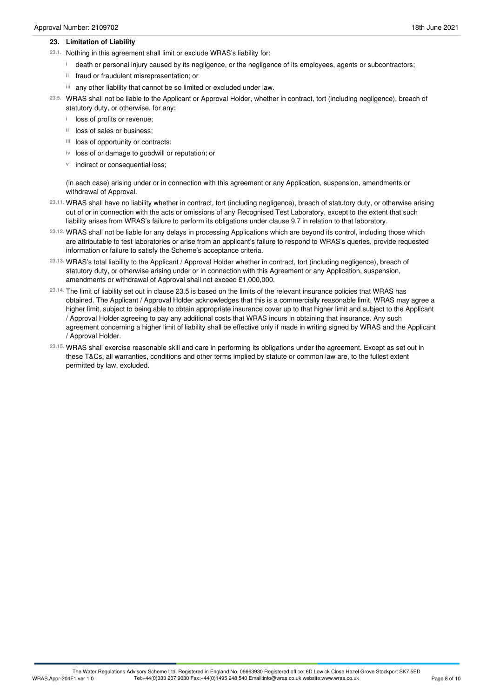#### **23. Limitation of Liability**

- 23.1. Nothing in this agreement shall limit or exclude WRAS's liability for:
	- death or personal injury caused by its negligence, or the negligence of its employees, agents or subcontractors; **i**
	- ii fraud or fraudulent misrepresentation; or
	- any other liability that cannot be so limited or excluded under law. **iii**
- WRAS shall not be liable to the Applicant or Approval Holder, whether in contract, tort (including negligence), breach of **23.5.** statutory duty, or otherwise, for any:
	- **i** loss of profits or revenue;
	- <sup>ii</sup> loss of sales or business;
	- iii loss of opportunity or contracts;
	- iv loss of or damage to goodwill or reputation; or
	- **v** indirect or consequential loss;

(in each case) arising under or in connection with this agreement or any Application, suspension, amendments or withdrawal of Approval.

- WRAS shall have no liability whether in contract, tort (including negligence), breach of statutory duty, or otherwise arising **23.11.** out of or in connection with the acts or omissions of any Recognised Test Laboratory, except to the extent that such liability arises from WRAS's failure to perform its obligations under clause 9.7 in relation to that laboratory.
- WRAS shall not be liable for any delays in processing Applications which are beyond its control, including those which **23.12.** are attributable to test laboratories or arise from an applicant's failure to respond to WRAS's queries, provide requested information or failure to satisfy the Scheme's acceptance criteria.
- WRAS's total liability to the Applicant / Approval Holder whether in contract, tort (including negligence), breach of **23.13.** statutory duty, or otherwise arising under or in connection with this Agreement or any Application, suspension, amendments or withdrawal of Approval shall not exceed £1,000,000.
- The limit of liability set out in clause 23.5 is based on the limits of the relevant insurance policies that WRAS has **23.14.** obtained. The Applicant / Approval Holder acknowledges that this is a commercially reasonable limit. WRAS may agree a higher limit, subject to being able to obtain appropriate insurance cover up to that higher limit and subject to the Applicant / Approval Holder agreeing to pay any additional costs that WRAS incurs in obtaining that insurance. Any such agreement concerning a higher limit of liability shall be effective only if made in writing signed by WRAS and the Applicant / Approval Holder.
- WRAS shall exercise reasonable skill and care in performing its obligations under the agreement. Except as set out in **23.15.** these T&Cs, all warranties, conditions and other terms implied by statute or common law are, to the fullest extent permitted by law, excluded.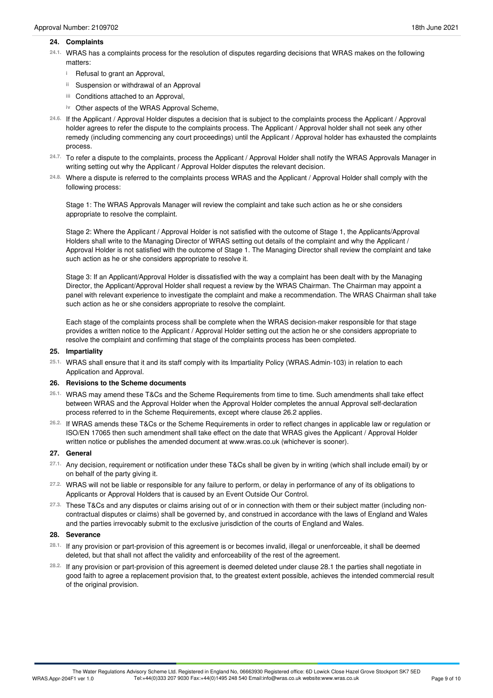#### **24. Complaints**

- WRAS has a complaints process for the resolution of disputes regarding decisions that WRAS makes on the following matters: **24.1.**
	- <sup>i</sup> Refusal to grant an Approval,
	- Suspension or withdrawal of an Approval **ii**
	- Conditions attached to an Approval, **iii**
	- iv Other aspects of the WRAS Approval Scheme,
- If the Applicant / Approval Holder disputes a decision that is subject to the complaints process the Applicant / Approval **24.6.** holder agrees to refer the dispute to the complaints process. The Applicant / Approval holder shall not seek any other remedy (including commencing any court proceedings) until the Applicant / Approval holder has exhausted the complaints process.
- To refer a dispute to the complaints, process the Applicant / Approval Holder shall notify the WRAS Approvals Manager in writing setting out why the Applicant / Approval Holder disputes the relevant decision. **24.7.**
- Where a dispute is referred to the complaints process WRAS and the Applicant / Approval Holder shall comply with the **24.8.** following process:

Stage 1: The WRAS Approvals Manager will review the complaint and take such action as he or she considers appropriate to resolve the complaint.

Stage 2: Where the Applicant / Approval Holder is not satisfied with the outcome of Stage 1, the Applicants/Approval Holders shall write to the Managing Director of WRAS setting out details of the complaint and why the Applicant / Approval Holder is not satisfied with the outcome of Stage 1. The Managing Director shall review the complaint and take such action as he or she considers appropriate to resolve it.

Stage 3: If an Applicant/Approval Holder is dissatisfied with the way a complaint has been dealt with by the Managing Director, the Applicant/Approval Holder shall request a review by the WRAS Chairman. The Chairman may appoint a panel with relevant experience to investigate the complaint and make a recommendation. The WRAS Chairman shall take such action as he or she considers appropriate to resolve the complaint.

Each stage of the complaints process shall be complete when the WRAS decision-maker responsible for that stage provides a written notice to the Applicant / Approval Holder setting out the action he or she considers appropriate to resolve the complaint and confirming that stage of the complaints process has been completed.

#### **25. Impartiality**

WRAS shall ensure that it and its staff comply with its Impartiality Policy (WRAS.Admin-103) in relation to each Application and Approval. **25.1.**

#### **26. Revisions to the Scheme documents**

- WRAS may amend these T&Cs and the Scheme Requirements from time to time. Such amendments shall take effect **26.1.** between WRAS and the Approval Holder when the Approval Holder completes the annual Approval self-declaration process referred to in the Scheme Requirements, except where clause 26.2 applies.
- If WRAS amends these T&Cs or the Scheme Requirements in order to reflect changes in applicable law or regulation or **26.2.** ISO/EN 17065 then such amendment shall take effect on the date that WRAS gives the Applicant / Approval Holder written notice or publishes the amended document at www.wras.co.uk (whichever is sooner).

#### **27. General**

- Any decision, requirement or notification under these T&Cs shall be given by in writing (which shall include email) by or on behalf of the party giving it. **27.1.**
- 27.2. WRAS will not be liable or responsible for any failure to perform, or delay in performance of any of its obligations to Applicants or Approval Holders that is caused by an Event Outside Our Control. **27.2.**
- These T&Cs and any disputes or claims arising out of or in connection with them or their subject matter (including non- **27.3.** contractual disputes or claims) shall be governed by, and construed in accordance with the laws of England and Wales and the parties irrevocably submit to the exclusive jurisdiction of the courts of England and Wales.

#### **28. Severance**

- <sup>28.1.</sup> If any provision or part-provision of this agreement is or becomes invalid, illegal or unenforceable, it shall be deemed<br>deleted, but that shall not affect the validity and enforceability of the rest of the agreeme
- If any provision or part-provision of this agreement is deemed deleted under clause 28.1 the parties shall negotiate in **28.2.** good faith to agree a replacement provision that, to the greatest extent possible, achieves the intended commercial result of the original provision.